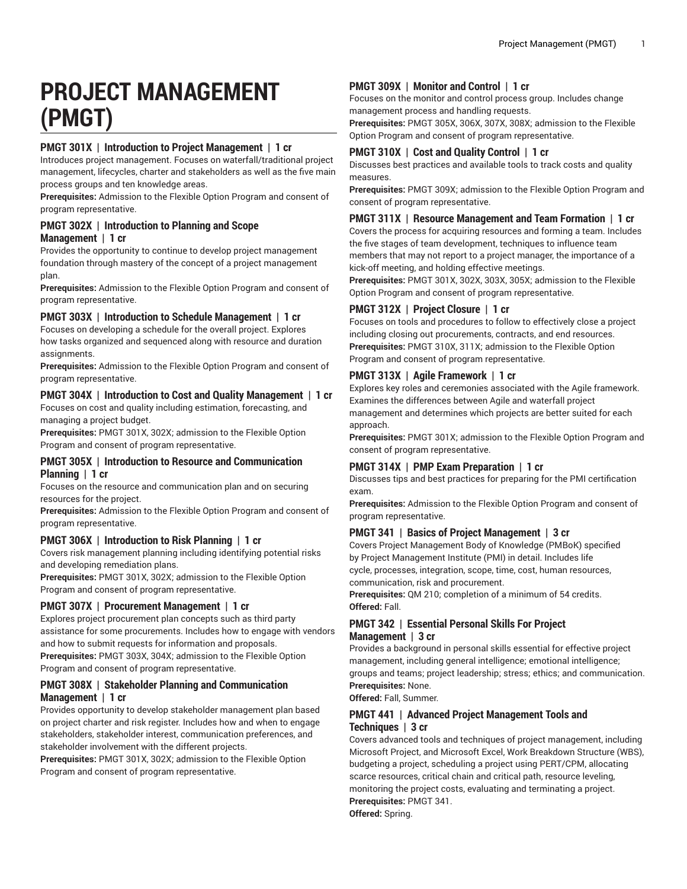# **PROJECT MANAGEMENT (PMGT)**

## **PMGT 301X | Introduction to Project Management | 1 cr**

Introduces project management. Focuses on waterfall/traditional project management, lifecycles, charter and stakeholders as well as the five main process groups and ten knowledge areas.

**Prerequisites:** Admission to the Flexible Option Program and consent of program representative.

#### **PMGT 302X | Introduction to Planning and Scope Management | 1 cr**

Provides the opportunity to continue to develop project management foundation through mastery of the concept of a project management plan.

**Prerequisites:** Admission to the Flexible Option Program and consent of program representative.

## **PMGT 303X | Introduction to Schedule Management | 1 cr**

Focuses on developing a schedule for the overall project. Explores how tasks organized and sequenced along with resource and duration assignments.

**Prerequisites:** Admission to the Flexible Option Program and consent of program representative.

# **PMGT 304X | Introduction to Cost and Quality Management | 1 cr**

Focuses on cost and quality including estimation, forecasting, and managing a project budget.

**Prerequisites:** PMGT 301X, 302X; admission to the Flexible Option Program and consent of program representative.

#### **PMGT 305X | Introduction to Resource and Communication Planning | 1 cr**

Focuses on the resource and communication plan and on securing resources for the project.

**Prerequisites:** Admission to the Flexible Option Program and consent of program representative.

## **PMGT 306X | Introduction to Risk Planning | 1 cr**

Covers risk management planning including identifying potential risks and developing remediation plans.

**Prerequisites:** PMGT 301X, 302X; admission to the Flexible Option Program and consent of program representative.

# **PMGT 307X | Procurement Management | 1 cr**

Explores project procurement plan concepts such as third party assistance for some procurements. Includes how to engage with vendors and how to submit requests for information and proposals. **Prerequisites:** PMGT 303X, 304X; admission to the Flexible Option

Program and consent of program representative.

## **PMGT 308X | Stakeholder Planning and Communication Management | 1 cr**

Provides opportunity to develop stakeholder management plan based on project charter and risk register. Includes how and when to engage stakeholders, stakeholder interest, communication preferences, and stakeholder involvement with the different projects.

**Prerequisites:** PMGT 301X, 302X; admission to the Flexible Option Program and consent of program representative.

# **PMGT 309X | Monitor and Control | 1 cr**

Focuses on the monitor and control process group. Includes change management process and handling requests.

**Prerequisites:** PMGT 305X, 306X, 307X, 308X; admission to the Flexible Option Program and consent of program representative.

## **PMGT 310X | Cost and Quality Control | 1 cr**

Discusses best practices and available tools to track costs and quality measures.

**Prerequisites:** PMGT 309X; admission to the Flexible Option Program and consent of program representative.

## **PMGT 311X | Resource Management and Team Formation | 1 cr**

Covers the process for acquiring resources and forming a team. Includes the five stages of team development, techniques to influence team members that may not report to a project manager, the importance of a kick-off meeting, and holding effective meetings.

**Prerequisites:** PMGT 301X, 302X, 303X, 305X; admission to the Flexible Option Program and consent of program representative.

# **PMGT 312X | Project Closure | 1 cr**

Focuses on tools and procedures to follow to effectively close a project including closing out procurements, contracts, and end resources. **Prerequisites:** PMGT 310X, 311X; admission to the Flexible Option Program and consent of program representative.

## **PMGT 313X | Agile Framework | 1 cr**

Explores key roles and ceremonies associated with the Agile framework. Examines the differences between Agile and waterfall project management and determines which projects are better suited for each approach.

**Prerequisites:** PMGT 301X; admission to the Flexible Option Program and consent of program representative.

## **PMGT 314X | PMP Exam Preparation | 1 cr**

Discusses tips and best practices for preparing for the PMI certification exam.

**Prerequisites:** Admission to the Flexible Option Program and consent of program representative.

## **PMGT 341 | Basics of Project Management | 3 cr**

Covers Project Management Body of Knowledge (PMBoK) specified by Project Management Institute (PMI) in detail. Includes life cycle, processes, integration, scope, time, cost, human resources, communication, risk and procurement.

**Prerequisites:** QM 210; completion of a minimum of 54 credits. **Offered:** Fall.

#### **PMGT 342 | Essential Personal Skills For Project Management | 3 cr**

Provides a background in personal skills essential for effective project management, including general intelligence; emotional intelligence; groups and teams; project leadership; stress; ethics; and communication. **Prerequisites:** None.

**Offered:** Fall, Summer.

#### **PMGT 441 | Advanced Project Management Tools and Techniques | 3 cr**

Covers advanced tools and techniques of project management, including Microsoft Project, and Microsoft Excel, Work Breakdown Structure (WBS), budgeting a project, scheduling a project using PERT/CPM, allocating scarce resources, critical chain and critical path, resource leveling, monitoring the project costs, evaluating and terminating a project. **Prerequisites:** PMGT 341.

**Offered:** Spring.